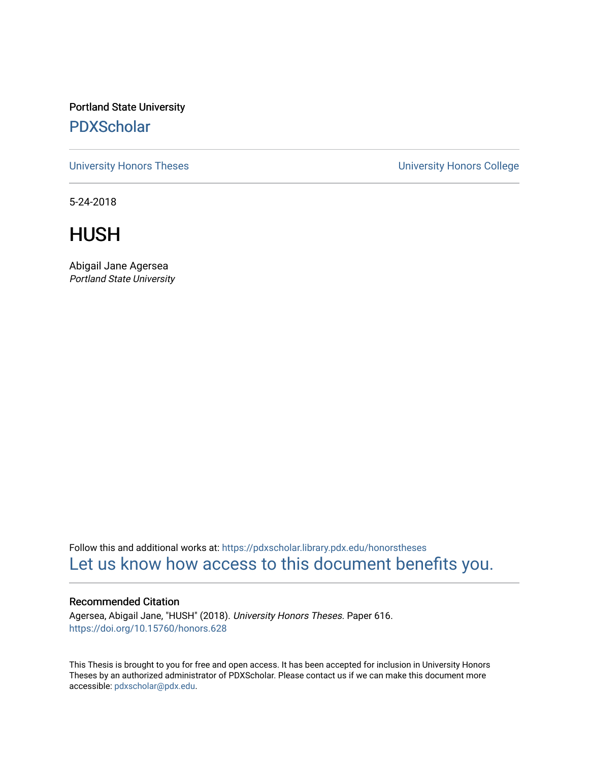Portland State University [PDXScholar](https://pdxscholar.library.pdx.edu/)

[University Honors Theses](https://pdxscholar.library.pdx.edu/honorstheses) [University Honors College](https://pdxscholar.library.pdx.edu/honors) 

5-24-2018

HUSH

Abigail Jane Agersea Portland State University

Follow this and additional works at: [https://pdxscholar.library.pdx.edu/honorstheses](https://pdxscholar.library.pdx.edu/honorstheses?utm_source=pdxscholar.library.pdx.edu%2Fhonorstheses%2F616&utm_medium=PDF&utm_campaign=PDFCoverPages)  [Let us know how access to this document benefits you.](http://library.pdx.edu/services/pdxscholar-services/pdxscholar-feedback/) 

## Recommended Citation

Agersea, Abigail Jane, "HUSH" (2018). University Honors Theses. Paper 616. <https://doi.org/10.15760/honors.628>

This Thesis is brought to you for free and open access. It has been accepted for inclusion in University Honors Theses by an authorized administrator of PDXScholar. Please contact us if we can make this document more accessible: [pdxscholar@pdx.edu.](mailto:pdxscholar@pdx.edu)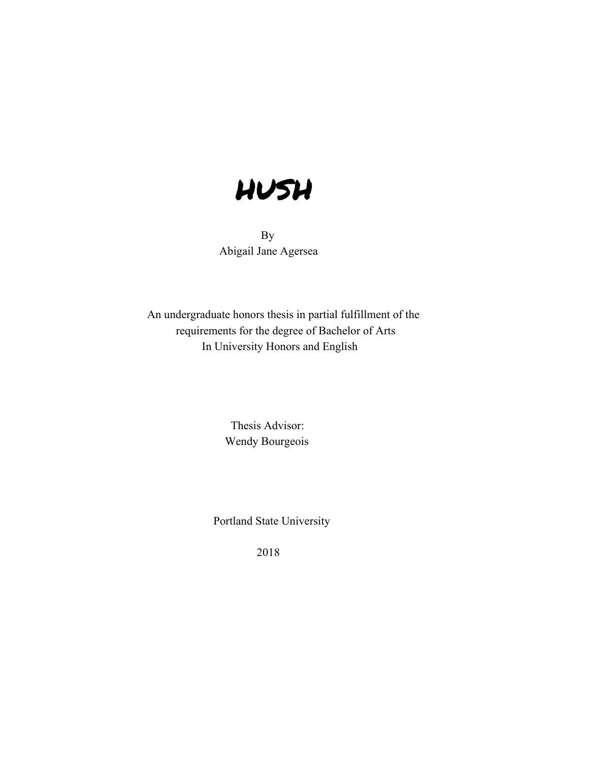

 By Abigail Jane Agersea

> An undergraduate honors thesis in partial fulfillment of the requirements for the degree of Bachelor of Arts In University Honors and English

> > Thesis Advisor: Wendy Bourgeois

Portland State University

2018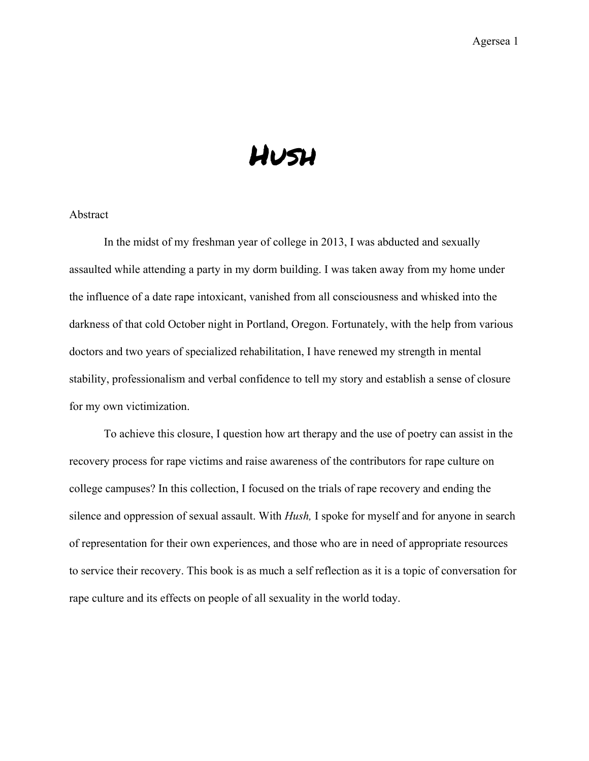# Hush

# Abstract

In the midst of my freshman year of college in 2013, I was abducted and sexually assaulted while attending a party in my dorm building. I was taken away from my home under the influence of a date rape intoxicant, vanished from all consciousness and whisked into the darkness of that cold October night in Portland, Oregon. Fortunately, with the help from various doctors and two years of specialized rehabilitation, I have renewed my strength in mental stability, professionalism and verbal confidence to tell my story and establish a sense of closure for my own victimization.

To achieve this closure, I question how art therapy and the use of poetry can assist in the recovery process for rape victims and raise awareness of the contributors for rape culture on college campuses? In this collection, I focused on the trials of rape recovery and ending the silence and oppression of sexual assault. With *Hush,* I spoke for myself and for anyone in search of representation for their own experiences, and those who are in need of appropriate resources to service their recovery. This book is as much a self reflection as it is a topic of conversation for rape culture and its effects on people of all sexuality in the world today.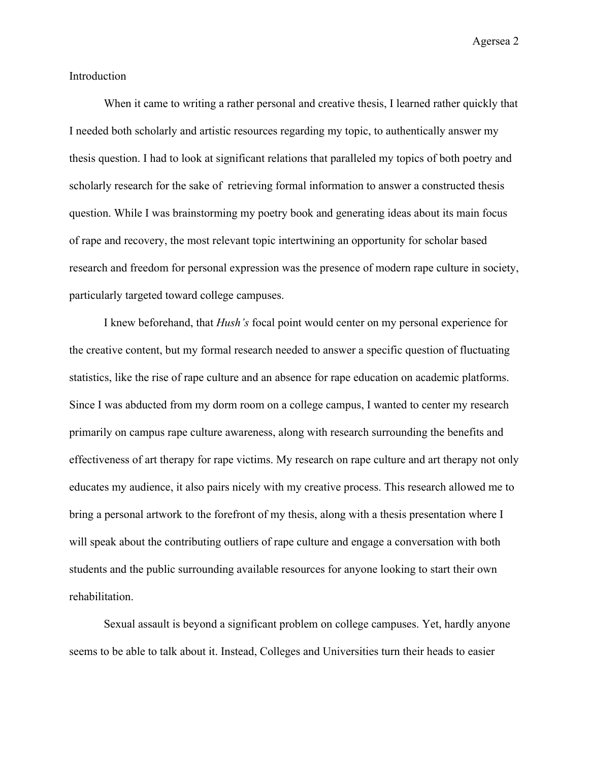Introduction

When it came to writing a rather personal and creative thesis, I learned rather quickly that I needed both scholarly and artistic resources regarding my topic, to authentically answer my thesis question. I had to look at significant relations that paralleled my topics of both poetry and scholarly research for the sake of retrieving formal information to answer a constructed thesis question. While I was brainstorming my poetry book and generating ideas about its main focus of rape and recovery, the most relevant topic intertwining an opportunity for scholar based research and freedom for personal expression was the presence of modern rape culture in society, particularly targeted toward college campuses.

I knew beforehand, that *Hush's* focal point would center on my personal experience for the creative content, but my formal research needed to answer a specific question of fluctuating statistics, like the rise of rape culture and an absence for rape education on academic platforms. Since I was abducted from my dorm room on a college campus, I wanted to center my research primarily on campus rape culture awareness, along with research surrounding the benefits and effectiveness of art therapy for rape victims. My research on rape culture and art therapy not only educates my audience, it also pairs nicely with my creative process. This research allowed me to bring a personal artwork to the forefront of my thesis, along with a thesis presentation where I will speak about the contributing outliers of rape culture and engage a conversation with both students and the public surrounding available resources for anyone looking to start their own rehabilitation.

Sexual assault is beyond a significant problem on college campuses. Yet, hardly anyone seems to be able to talk about it. Instead, Colleges and Universities turn their heads to easier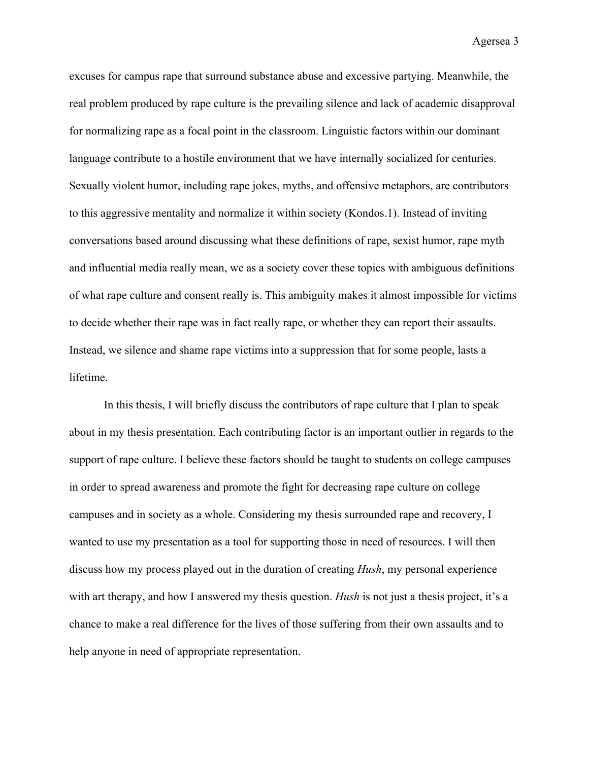excuses for campus rape that surround substance abuse and excessive partying. Meanwhile, the real problem produced by rape culture is the prevailing silence and lack of academic disapproval for normalizing rape as a focal point in the classroom. Linguistic factors within our dominant language contribute to a hostile environment that we have internally socialized for centuries. Sexually violent humor, including rape jokes, myths, and offensive metaphors, are contributors to this aggressive mentality and normalize it within society (Kondos.1). Instead of inviting conversations based around discussing what these definitions of rape, sexist humor, rape myth and influential media really mean, we as a society cover these topics with ambiguous definitions of what rape culture and consent really is. This ambiguity makes it almost impossible for victims to decide whether their rape was in fact really rape, or whether they can report their assaults. Instead, we silence and shame rape victims into a suppression that for some people, lasts a lifetime.

In this thesis, I will briefly discuss the contributors of rape culture that I plan to speak about in my thesis presentation. Each contributing factor is an important outlier in regards to the support of rape culture. I believe these factors should be taught to students on college campuses in order to spread awareness and promote the fight for decreasing rape culture on college campuses and in society as a whole. Considering my thesis surrounded rape and recovery, I wanted to use my presentation as a tool for supporting those in need of resources. I will then discuss how my process played out in the duration of creating *Hush*, my personal experience with art therapy, and how I answered my thesis question. *Hush* is not just a thesis project, it's a chance to make a real difference for the lives of those suffering from their own assaults and to help anyone in need of appropriate representation.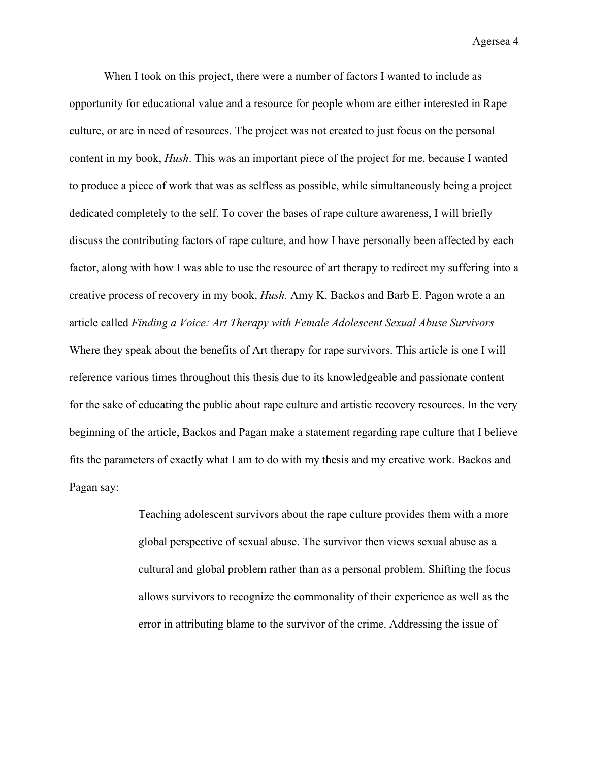When I took on this project, there were a number of factors I wanted to include as opportunity for educational value and a resource for people whom are either interested in Rape culture, or are in need of resources. The project was not created to just focus on the personal content in my book, *Hush*. This was an important piece of the project for me, because I wanted to produce a piece of work that was as selfless as possible, while simultaneously being a project dedicated completely to the self. To cover the bases of rape culture awareness, I will briefly discuss the contributing factors of rape culture, and how I have personally been affected by each factor, along with how I was able to use the resource of art therapy to redirect my suffering into a creative process of recovery in my book, *Hush.* Amy K. Backos and Barb E. Pagon wrote a an article called *Finding a Voice: Art Therapy with Female Adolescent Sexual Abuse Survivors* Where they speak about the benefits of Art therapy for rape survivors. This article is one I will reference various times throughout this thesis due to its knowledgeable and passionate content for the sake of educating the public about rape culture and artistic recovery resources. In the very beginning of the article, Backos and Pagan make a statement regarding rape culture that I believe fits the parameters of exactly what I am to do with my thesis and my creative work. Backos and Pagan say:

> Teaching adolescent survivors about the rape culture provides them with a more global perspective of sexual abuse. The survivor then views sexual abuse as a cultural and global problem rather than as a personal problem. Shifting the focus allows survivors to recognize the commonality of their experience as well as the error in attributing blame to the survivor of the crime. Addressing the issue of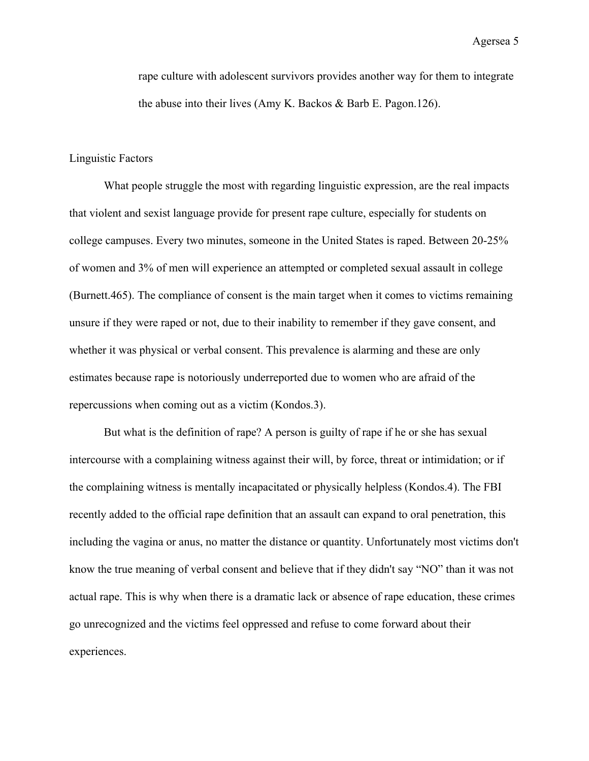rape culture with adolescent survivors provides another way for them to integrate the abuse into their lives (Amy K. Backos & Barb E. Pagon.126).

# Linguistic Factors

What people struggle the most with regarding linguistic expression, are the real impacts that violent and sexist language provide for present rape culture, especially for students on college campuses. Every two minutes, someone in the United States is raped. Between 20-25% of women and 3% of men will experience an attempted or completed sexual assault in college (Burnett.465). The compliance of consent is the main target when it comes to victims remaining unsure if they were raped or not, due to their inability to remember if they gave consent, and whether it was physical or verbal consent. This prevalence is alarming and these are only estimates because rape is notoriously underreported due to women who are afraid of the repercussions when coming out as a victim (Kondos.3).

But what is the definition of rape? A person is guilty of rape if he or she has sexual intercourse with a complaining witness against their will, by force, threat or intimidation; or if the complaining witness is mentally incapacitated or physically helpless (Kondos.4). The FBI recently added to the official rape definition that an assault can expand to oral penetration, this including the vagina or anus, no matter the distance or quantity. Unfortunately most victims don't know the true meaning of verbal consent and believe that if they didn't say "NO" than it was not actual rape. This is why when there is a dramatic lack or absence of rape education, these crimes go unrecognized and the victims feel oppressed and refuse to come forward about their experiences.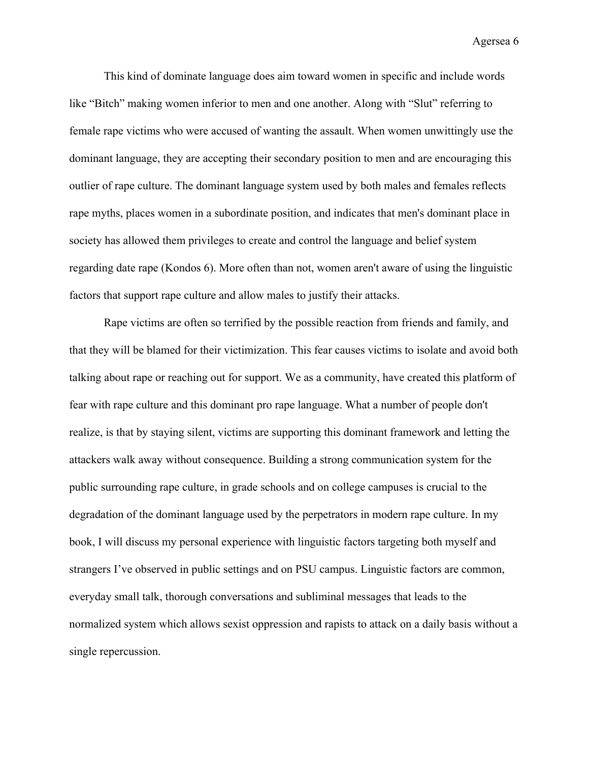This kind of dominate language does aim toward women in specific and include words like "Bitch" making women inferior to men and one another. Along with "Slut" referring to female rape victims who were accused of wanting the assault. When women unwittingly use the dominant language, they are accepting their secondary position to men and are encouraging this outlier of rape culture. The dominant language system used by both males and females reflects rape myths, places women in a subordinate position, and indicates that men's dominant place in society has allowed them privileges to create and control the language and belief system regarding date rape (Kondos 6). More often than not, women aren't aware of using the linguistic factors that support rape culture and allow males to justify their attacks.

Rape victims are often so terrified by the possible reaction from friends and family, and that they will be blamed for their victimization. This fear causes victims to isolate and avoid both talking about rape or reaching out for support. We as a community, have created this platform of fear with rape culture and this dominant pro rape language. What a number of people don't realize, is that by staying silent, victims are supporting this dominant framework and letting the attackers walk away without consequence. Building a strong communication system for the public surrounding rape culture, in grade schools and on college campuses is crucial to the degradation of the dominant language used by the perpetrators in modern rape culture. In my book, I will discuss my personal experience with linguistic factors targeting both myself and strangers I've observed in public settings and on PSU campus. Linguistic factors are common, everyday small talk, thorough conversations and subliminal messages that leads to the normalized system which allows sexist oppression and rapists to attack on a daily basis without a single repercussion.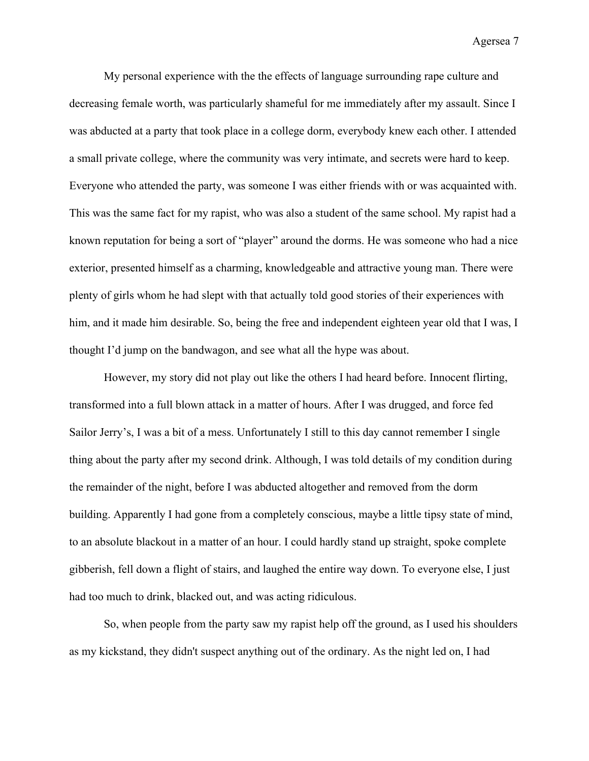My personal experience with the the effects of language surrounding rape culture and decreasing female worth, was particularly shameful for me immediately after my assault. Since I was abducted at a party that took place in a college dorm, everybody knew each other. I attended a small private college, where the community was very intimate, and secrets were hard to keep. Everyone who attended the party, was someone I was either friends with or was acquainted with. This was the same fact for my rapist, who was also a student of the same school. My rapist had a known reputation for being a sort of "player" around the dorms. He was someone who had a nice exterior, presented himself as a charming, knowledgeable and attractive young man. There were plenty of girls whom he had slept with that actually told good stories of their experiences with him, and it made him desirable. So, being the free and independent eighteen year old that I was, I thought I'd jump on the bandwagon, and see what all the hype was about.

However, my story did not play out like the others I had heard before. Innocent flirting, transformed into a full blown attack in a matter of hours. After I was drugged, and force fed Sailor Jerry's, I was a bit of a mess. Unfortunately I still to this day cannot remember I single thing about the party after my second drink. Although, I was told details of my condition during the remainder of the night, before I was abducted altogether and removed from the dorm building. Apparently I had gone from a completely conscious, maybe a little tipsy state of mind, to an absolute blackout in a matter of an hour. I could hardly stand up straight, spoke complete gibberish, fell down a flight of stairs, and laughed the entire way down. To everyone else, I just had too much to drink, blacked out, and was acting ridiculous.

So, when people from the party saw my rapist help off the ground, as I used his shoulders as my kickstand, they didn't suspect anything out of the ordinary. As the night led on, I had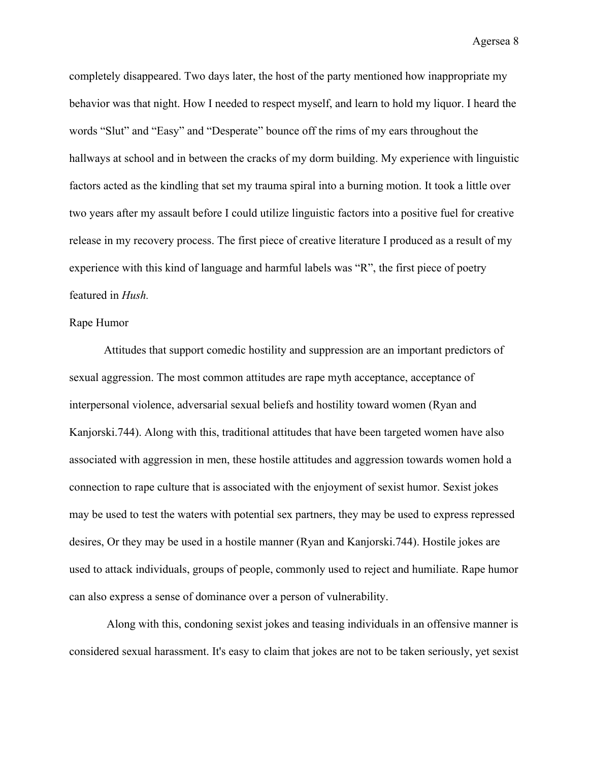completely disappeared. Two days later, the host of the party mentioned how inappropriate my behavior was that night. How I needed to respect myself, and learn to hold my liquor. I heard the words "Slut" and "Easy" and "Desperate" bounce off the rims of my ears throughout the hallways at school and in between the cracks of my dorm building. My experience with linguistic factors acted as the kindling that set my trauma spiral into a burning motion. It took a little over two years after my assault before I could utilize linguistic factors into a positive fuel for creative release in my recovery process. The first piece of creative literature I produced as a result of my experience with this kind of language and harmful labels was "R", the first piece of poetry featured in *Hush.*

## Rape Humor

Attitudes that support comedic hostility and suppression are an important predictors of sexual aggression. The most common attitudes are rape myth acceptance, acceptance of interpersonal violence, adversarial sexual beliefs and hostility toward women (Ryan and Kanjorski.744). Along with this, traditional attitudes that have been targeted women have also associated with aggression in men, these hostile attitudes and aggression towards women hold a connection to rape culture that is associated with the enjoyment of sexist humor. Sexist jokes may be used to test the waters with potential sex partners, they may be used to express repressed desires, Or they may be used in a hostile manner (Ryan and Kanjorski.744). Hostile jokes are used to attack individuals, groups of people, commonly used to reject and humiliate. Rape humor can also express a sense of dominance over a person of vulnerability.

 Along with this, condoning sexist jokes and teasing individuals in an offensive manner is considered sexual harassment. It's easy to claim that jokes are not to be taken seriously, yet sexist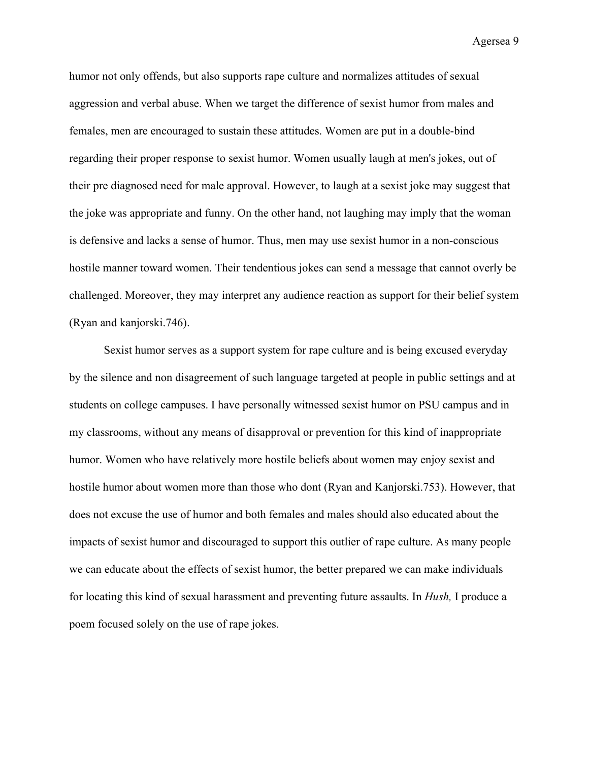humor not only offends, but also supports rape culture and normalizes attitudes of sexual aggression and verbal abuse. When we target the difference of sexist humor from males and females, men are encouraged to sustain these attitudes. Women are put in a double-bind regarding their proper response to sexist humor. Women usually laugh at men's jokes, out of their pre diagnosed need for male approval. However, to laugh at a sexist joke may suggest that the joke was appropriate and funny. On the other hand, not laughing may imply that the woman is defensive and lacks a sense of humor. Thus, men may use sexist humor in a non-conscious hostile manner toward women. Their tendentious jokes can send a message that cannot overly be challenged. Moreover, they may interpret any audience reaction as support for their belief system (Ryan and kanjorski.746).

Sexist humor serves as a support system for rape culture and is being excused everyday by the silence and non disagreement of such language targeted at people in public settings and at students on college campuses. I have personally witnessed sexist humor on PSU campus and in my classrooms, without any means of disapproval or prevention for this kind of inappropriate humor. Women who have relatively more hostile beliefs about women may enjoy sexist and hostile humor about women more than those who dont (Ryan and Kanjorski.753). However, that does not excuse the use of humor and both females and males should also educated about the impacts of sexist humor and discouraged to support this outlier of rape culture. As many people we can educate about the effects of sexist humor, the better prepared we can make individuals for locating this kind of sexual harassment and preventing future assaults. In *Hush,* I produce a poem focused solely on the use of rape jokes.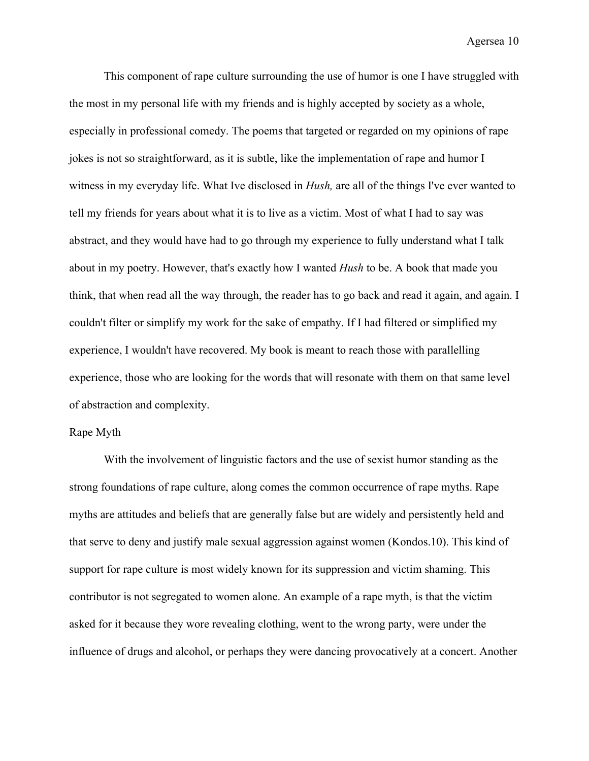This component of rape culture surrounding the use of humor is one I have struggled with the most in my personal life with my friends and is highly accepted by society as a whole, especially in professional comedy. The poems that targeted or regarded on my opinions of rape jokes is not so straightforward, as it is subtle, like the implementation of rape and humor I witness in my everyday life. What Ive disclosed in *Hush,* are all of the things I've ever wanted to tell my friends for years about what it is to live as a victim. Most of what I had to say was abstract, and they would have had to go through my experience to fully understand what I talk about in my poetry. However, that's exactly how I wanted *Hush* to be. A book that made you think, that when read all the way through, the reader has to go back and read it again, and again. I couldn't filter or simplify my work for the sake of empathy. If I had filtered or simplified my experience, I wouldn't have recovered. My book is meant to reach those with parallelling experience, those who are looking for the words that will resonate with them on that same level of abstraction and complexity.

## Rape Myth

With the involvement of linguistic factors and the use of sexist humor standing as the strong foundations of rape culture, along comes the common occurrence of rape myths. Rape myths are attitudes and beliefs that are generally false but are widely and persistently held and that serve to deny and justify male sexual aggression against women (Kondos.10). This kind of support for rape culture is most widely known for its suppression and victim shaming. This contributor is not segregated to women alone. An example of a rape myth, is that the victim asked for it because they wore revealing clothing, went to the wrong party, were under the influence of drugs and alcohol, or perhaps they were dancing provocatively at a concert. Another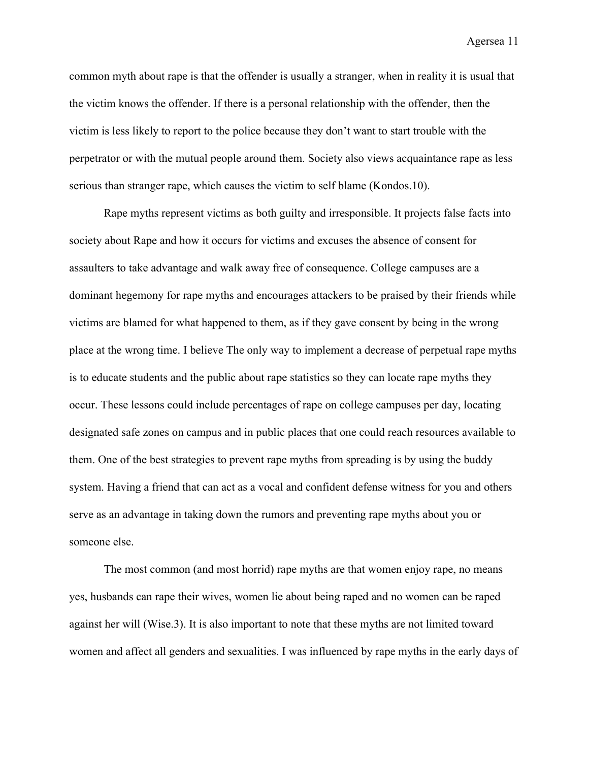common myth about rape is that the offender is usually a stranger, when in reality it is usual that the victim knows the offender. If there is a personal relationship with the offender, then the victim is less likely to report to the police because they don't want to start trouble with the perpetrator or with the mutual people around them. Society also views acquaintance rape as less serious than stranger rape, which causes the victim to self blame (Kondos.10).

Rape myths represent victims as both guilty and irresponsible. It projects false facts into society about Rape and how it occurs for victims and excuses the absence of consent for assaulters to take advantage and walk away free of consequence. College campuses are a dominant hegemony for rape myths and encourages attackers to be praised by their friends while victims are blamed for what happened to them, as if they gave consent by being in the wrong place at the wrong time. I believe The only way to implement a decrease of perpetual rape myths is to educate students and the public about rape statistics so they can locate rape myths they occur. These lessons could include percentages of rape on college campuses per day, locating designated safe zones on campus and in public places that one could reach resources available to them. One of the best strategies to prevent rape myths from spreading is by using the buddy system. Having a friend that can act as a vocal and confident defense witness for you and others serve as an advantage in taking down the rumors and preventing rape myths about you or someone else.

The most common (and most horrid) rape myths are that women enjoy rape, no means yes, husbands can rape their wives, women lie about being raped and no women can be raped against her will (Wise.3). It is also important to note that these myths are not limited toward women and affect all genders and sexualities. I was influenced by rape myths in the early days of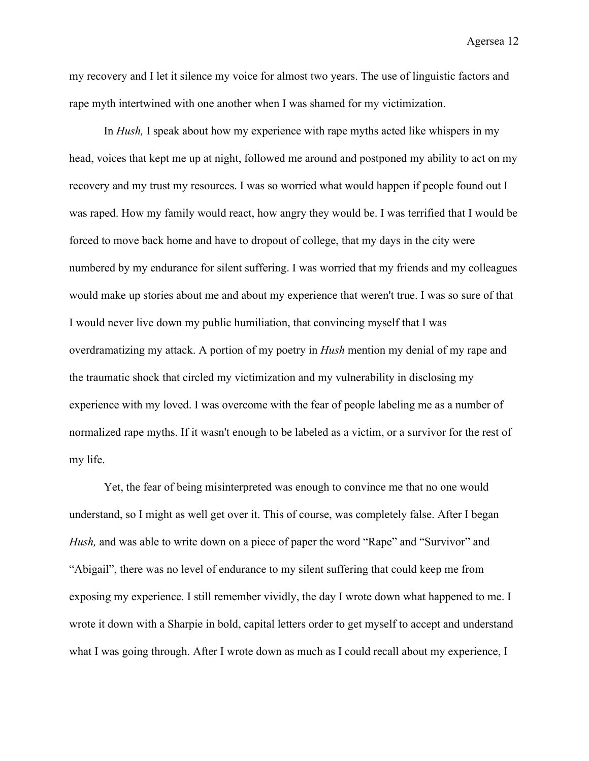my recovery and I let it silence my voice for almost two years. The use of linguistic factors and rape myth intertwined with one another when I was shamed for my victimization.

In *Hush,* I speak about how my experience with rape myths acted like whispers in my head, voices that kept me up at night, followed me around and postponed my ability to act on my recovery and my trust my resources. I was so worried what would happen if people found out I was raped. How my family would react, how angry they would be. I was terrified that I would be forced to move back home and have to dropout of college, that my days in the city were numbered by my endurance for silent suffering. I was worried that my friends and my colleagues would make up stories about me and about my experience that weren't true. I was so sure of that I would never live down my public humiliation, that convincing myself that I was overdramatizing my attack. A portion of my poetry in *Hush* mention my denial of my rape and the traumatic shock that circled my victimization and my vulnerability in disclosing my experience with my loved. I was overcome with the fear of people labeling me as a number of normalized rape myths. If it wasn't enough to be labeled as a victim, or a survivor for the rest of my life.

Yet, the fear of being misinterpreted was enough to convince me that no one would understand, so I might as well get over it. This of course, was completely false. After I began *Hush,* and was able to write down on a piece of paper the word "Rape" and "Survivor" and "Abigail", there was no level of endurance to my silent suffering that could keep me from exposing my experience. I still remember vividly, the day I wrote down what happened to me. I wrote it down with a Sharpie in bold, capital letters order to get myself to accept and understand what I was going through. After I wrote down as much as I could recall about my experience, I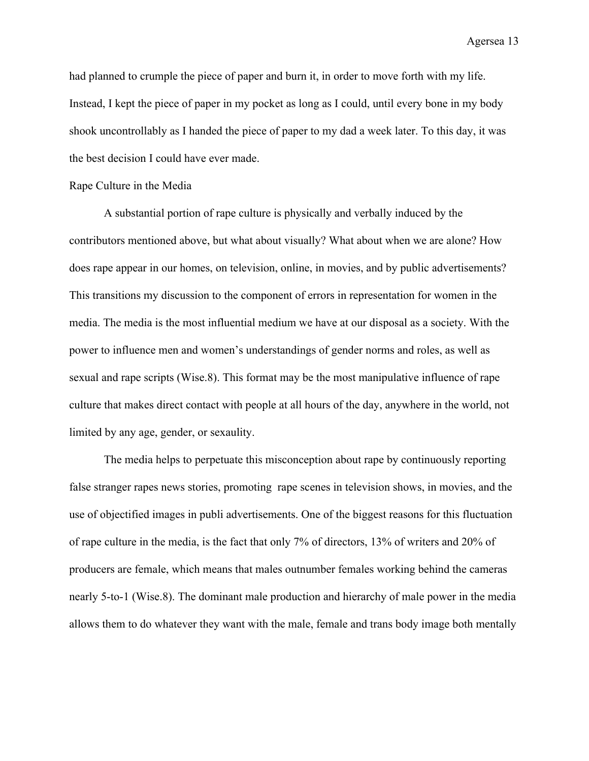had planned to crumple the piece of paper and burn it, in order to move forth with my life. Instead, I kept the piece of paper in my pocket as long as I could, until every bone in my body shook uncontrollably as I handed the piece of paper to my dad a week later. To this day, it was the best decision I could have ever made.

#### Rape Culture in the Media

A substantial portion of rape culture is physically and verbally induced by the contributors mentioned above, but what about visually? What about when we are alone? How does rape appear in our homes, on television, online, in movies, and by public advertisements? This transitions my discussion to the component of errors in representation for women in the media. The media is the most influential medium we have at our disposal as a society. With the power to influence men and women's understandings of gender norms and roles, as well as sexual and rape scripts (Wise.8). This format may be the most manipulative influence of rape culture that makes direct contact with people at all hours of the day, anywhere in the world, not limited by any age, gender, or sexaulity.

The media helps to perpetuate this misconception about rape by continuously reporting false stranger rapes news stories, promoting rape scenes in television shows, in movies, and the use of objectified images in publi advertisements. One of the biggest reasons for this fluctuation of rape culture in the media, is the fact that only 7% of directors, 13% of writers and 20% of producers are female, which means that males outnumber females working behind the cameras nearly 5-to-1 (Wise.8). The dominant male production and hierarchy of male power in the media allows them to do whatever they want with the male, female and trans body image both mentally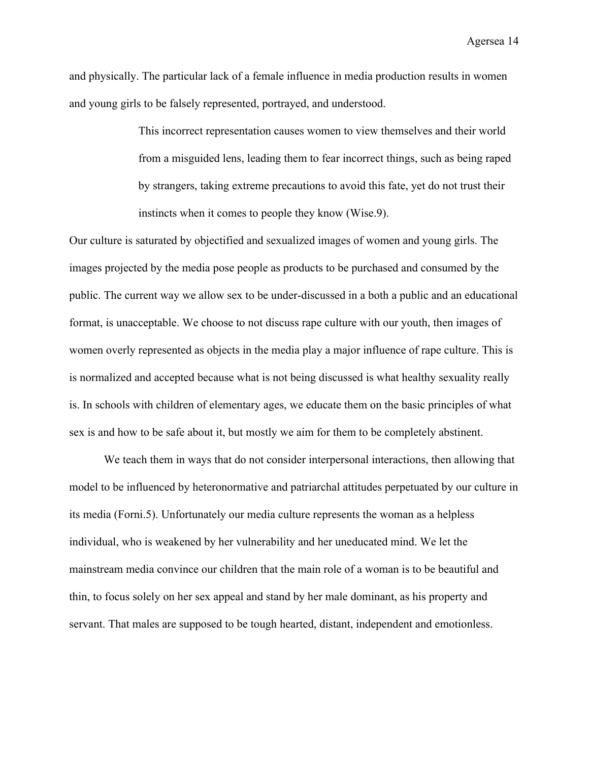and physically. The particular lack of a female influence in media production results in women and young girls to be falsely represented, portrayed, and understood.

> This incorrect representation causes women to view themselves and their world from a misguided lens, leading them to fear incorrect things, such as being raped by strangers, taking extreme precautions to avoid this fate, yet do not trust their instincts when it comes to people they know (Wise.9).

Our culture is saturated by objectified and sexualized images of women and young girls. The images projected by the media pose people as products to be purchased and consumed by the public. The current way we allow sex to be under-discussed in a both a public and an educational format, is unacceptable. We choose to not discuss rape culture with our youth, then images of women overly represented as objects in the media play a major influence of rape culture. This is is normalized and accepted because what is not being discussed is what healthy sexuality really is. In schools with children of elementary ages, we educate them on the basic principles of what sex is and how to be safe about it, but mostly we aim for them to be completely abstinent.

We teach them in ways that do not consider interpersonal interactions, then allowing that model to be influenced by heteronormative and patriarchal attitudes perpetuated by our culture in its media (Forni.5). Unfortunately our media culture represents the woman as a helpless individual, who is weakened by her vulnerability and her uneducated mind. We let the mainstream media convince our children that the main role of a woman is to be beautiful and thin, to focus solely on her sex appeal and stand by her male dominant, as his property and servant. That males are supposed to be tough hearted, distant, independent and emotionless.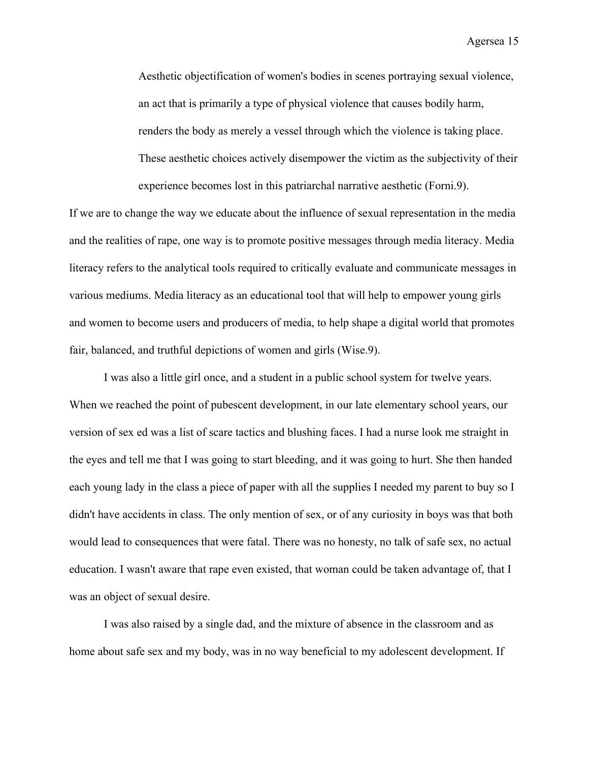Aesthetic objectification of women's bodies in scenes portraying sexual violence, an act that is primarily a type of physical violence that causes bodily harm, renders the body as merely a vessel through which the violence is taking place. These aesthetic choices actively disempower the victim as the subjectivity of their experience becomes lost in this patriarchal narrative aesthetic (Forni.9).

If we are to change the way we educate about the influence of sexual representation in the media and the realities of rape, one way is to promote positive messages through media literacy. Media literacy refers to the analytical tools required to critically evaluate and communicate messages in various mediums. Media literacy as an educational tool that will help to empower young girls and women to become users and producers of media, to help shape a digital world that promotes fair, balanced, and truthful depictions of women and girls (Wise.9).

I was also a little girl once, and a student in a public school system for twelve years. When we reached the point of pubescent development, in our late elementary school years, our version of sex ed was a list of scare tactics and blushing faces. I had a nurse look me straight in the eyes and tell me that I was going to start bleeding, and it was going to hurt. She then handed each young lady in the class a piece of paper with all the supplies I needed my parent to buy so I didn't have accidents in class. The only mention of sex, or of any curiosity in boys was that both would lead to consequences that were fatal. There was no honesty, no talk of safe sex, no actual education. I wasn't aware that rape even existed, that woman could be taken advantage of, that I was an object of sexual desire.

I was also raised by a single dad, and the mixture of absence in the classroom and as home about safe sex and my body, was in no way beneficial to my adolescent development. If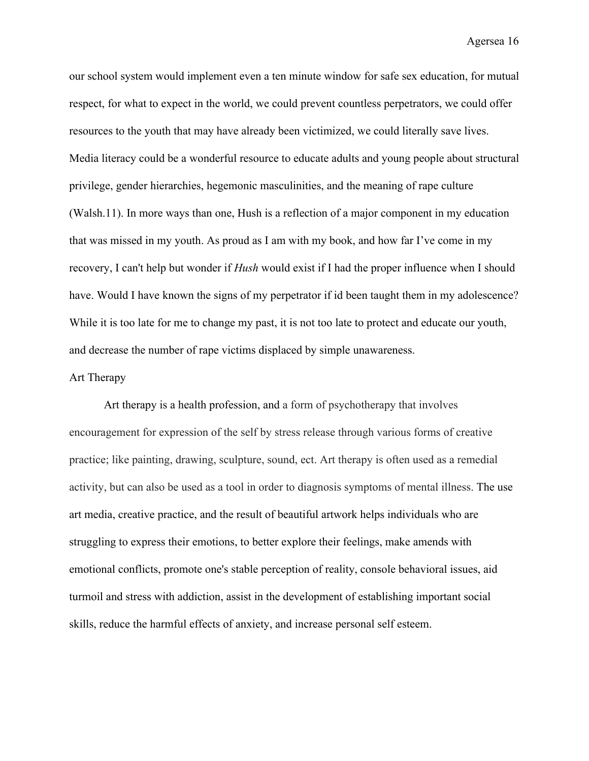our school system would implement even a ten minute window for safe sex education, for mutual respect, for what to expect in the world, we could prevent countless perpetrators, we could offer resources to the youth that may have already been victimized, we could literally save lives. Media literacy could be a wonderful resource to educate adults and young people about structural privilege, gender hierarchies, hegemonic masculinities, and the meaning of rape culture (Walsh.11). In more ways than one, Hush is a reflection of a major component in my education that was missed in my youth. As proud as I am with my book, and how far I've come in my recovery, I can't help but wonder if *Hush* would exist if I had the proper influence when I should have. Would I have known the signs of my perpetrator if id been taught them in my adolescence? While it is too late for me to change my past, it is not too late to protect and educate our youth, and decrease the number of rape victims displaced by simple unawareness.

#### Art Therapy

Art therapy is a health profession, and a form of psychotherapy that involves encouragement for expression of the self by stress release through various forms of creative practice; like painting, drawing, sculpture, sound, ect. Art therapy is often used as a remedial activity, but can also be used as a tool in order to diagnosis symptoms of mental illness. The use art media, creative practice, and the result of beautiful artwork helps individuals who are struggling to express their emotions, to better explore their feelings, make amends with emotional conflicts, promote one's stable perception of reality, console behavioral issues, aid turmoil and stress with addiction, assist in the development of establishing important social skills, reduce the harmful effects of anxiety, and increase personal self esteem.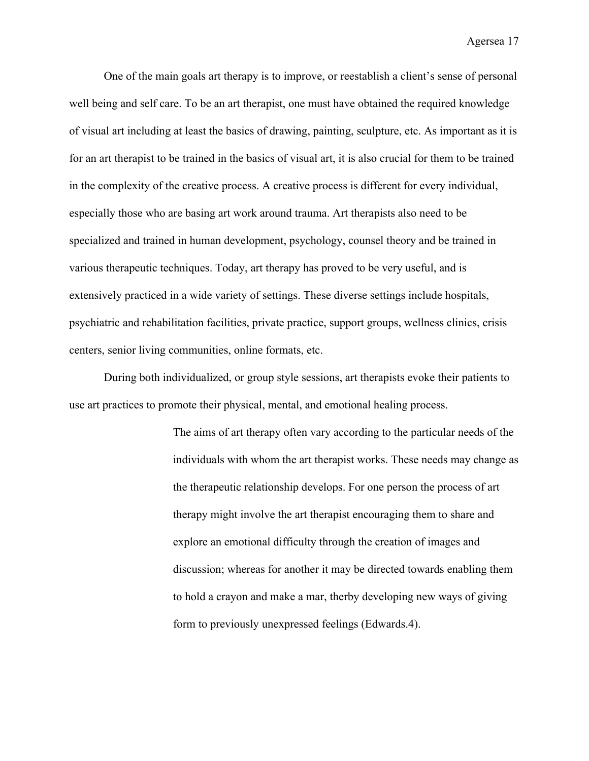One of the main goals art therapy is to improve, or reestablish a client's sense of personal well being and self care. To be an art therapist, one must have obtained the required knowledge of visual art including at least the basics of drawing, painting, sculpture, etc. As important as it is for an art therapist to be trained in the basics of visual art, it is also crucial for them to be trained in the complexity of the creative process. A creative process is different for every individual, especially those who are basing art work around trauma. Art therapists also need to be specialized and trained in human development, psychology, counsel theory and be trained in various therapeutic techniques. Today, art therapy has proved to be very useful, and is extensively practiced in a wide variety of settings. These diverse settings include hospitals, psychiatric and rehabilitation facilities, private practice, support groups, wellness clinics, crisis centers, senior living communities, online formats, etc.

During both individualized, or group style sessions, art therapists evoke their patients to use art practices to promote their physical, mental, and emotional healing process.

> The aims of art therapy often vary according to the particular needs of the individuals with whom the art therapist works. These needs may change as the therapeutic relationship develops. For one person the process of art therapy might involve the art therapist encouraging them to share and explore an emotional difficulty through the creation of images and discussion; whereas for another it may be directed towards enabling them to hold a crayon and make a mar, therby developing new ways of giving form to previously unexpressed feelings (Edwards.4).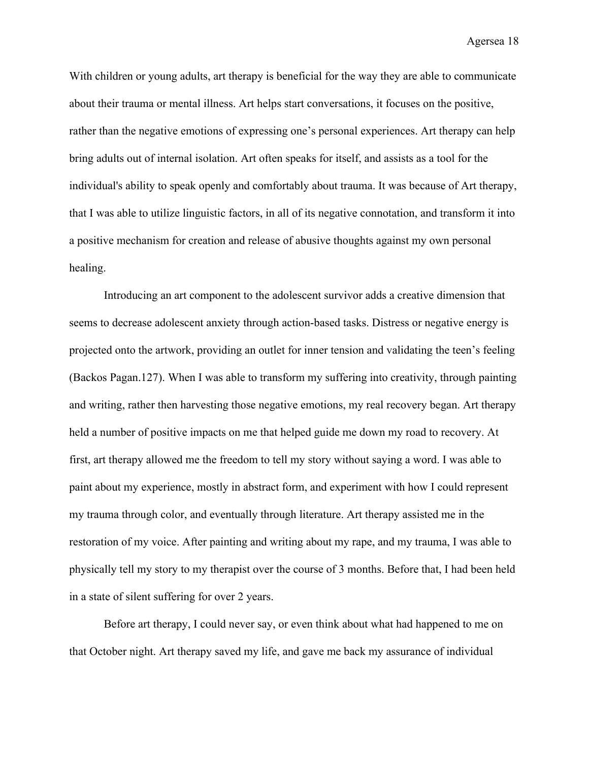With children or young adults, art therapy is beneficial for the way they are able to communicate about their trauma or mental illness. Art helps start conversations, it focuses on the positive, rather than the negative emotions of expressing one's personal experiences. Art therapy can help bring adults out of internal isolation. Art often speaks for itself, and assists as a tool for the individual's ability to speak openly and comfortably about trauma. It was because of Art therapy, that I was able to utilize linguistic factors, in all of its negative connotation, and transform it into a positive mechanism for creation and release of abusive thoughts against my own personal healing.

Introducing an art component to the adolescent survivor adds a creative dimension that seems to decrease adolescent anxiety through action-based tasks. Distress or negative energy is projected onto the artwork, providing an outlet for inner tension and validating the teen's feeling (Backos Pagan.127). When I was able to transform my suffering into creativity, through painting and writing, rather then harvesting those negative emotions, my real recovery began. Art therapy held a number of positive impacts on me that helped guide me down my road to recovery. At first, art therapy allowed me the freedom to tell my story without saying a word. I was able to paint about my experience, mostly in abstract form, and experiment with how I could represent my trauma through color, and eventually through literature. Art therapy assisted me in the restoration of my voice. After painting and writing about my rape, and my trauma, I was able to physically tell my story to my therapist over the course of 3 months. Before that, I had been held in a state of silent suffering for over 2 years.

Before art therapy, I could never say, or even think about what had happened to me on that October night. Art therapy saved my life, and gave me back my assurance of individual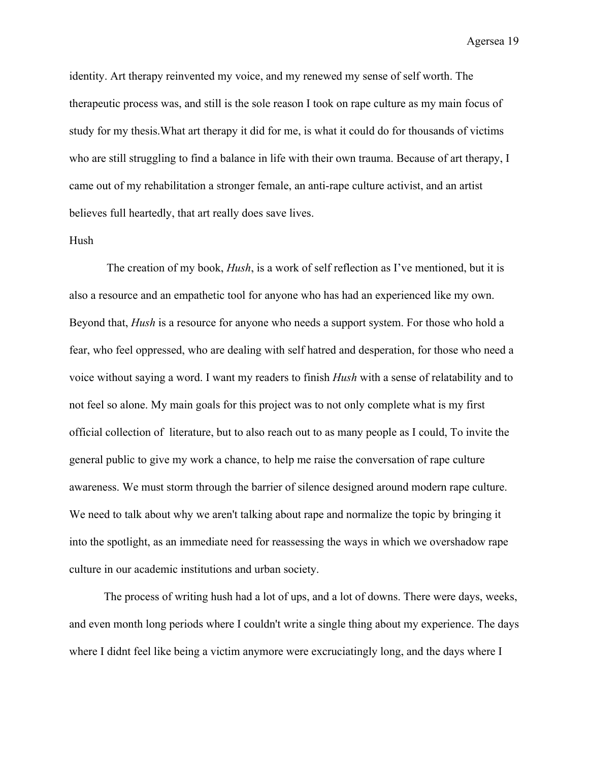identity. Art therapy reinvented my voice, and my renewed my sense of self worth. The therapeutic process was, and still is the sole reason I took on rape culture as my main focus of study for my thesis.What art therapy it did for me, is what it could do for thousands of victims who are still struggling to find a balance in life with their own trauma. Because of art therapy, I came out of my rehabilitation a stronger female, an anti-rape culture activist, and an artist believes full heartedly, that art really does save lives.

#### Hush

 The creation of my book, *Hush*, is a work of self reflection as I've mentioned, but it is also a resource and an empathetic tool for anyone who has had an experienced like my own. Beyond that, *Hush* is a resource for anyone who needs a support system. For those who hold a fear, who feel oppressed, who are dealing with self hatred and desperation, for those who need a voice without saying a word. I want my readers to finish *Hush* with a sense of relatability and to not feel so alone. My main goals for this project was to not only complete what is my first official collection of literature, but to also reach out to as many people as I could, To invite the general public to give my work a chance, to help me raise the conversation of rape culture awareness. We must storm through the barrier of silence designed around modern rape culture. We need to talk about why we aren't talking about rape and normalize the topic by bringing it into the spotlight, as an immediate need for reassessing the ways in which we overshadow rape culture in our academic institutions and urban society.

The process of writing hush had a lot of ups, and a lot of downs. There were days, weeks, and even month long periods where I couldn't write a single thing about my experience. The days where I didnt feel like being a victim anymore were excruciatingly long, and the days where I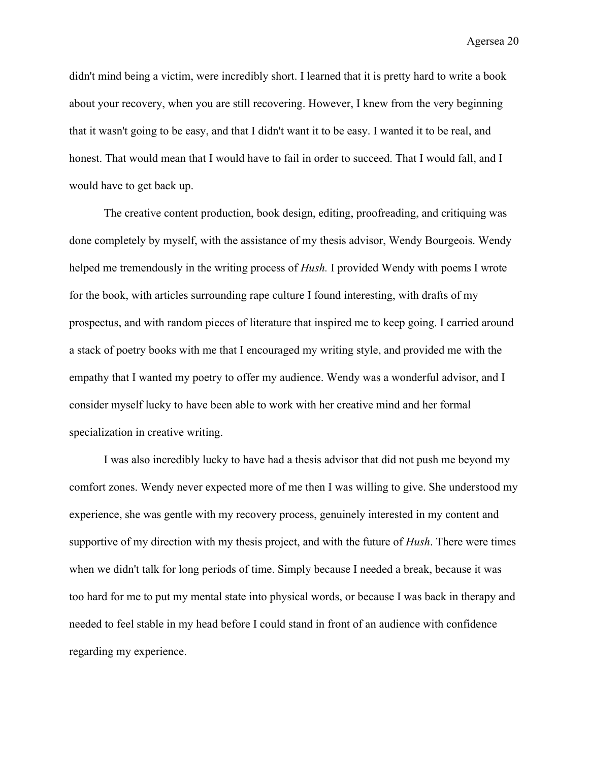didn't mind being a victim, were incredibly short. I learned that it is pretty hard to write a book about your recovery, when you are still recovering. However, I knew from the very beginning that it wasn't going to be easy, and that I didn't want it to be easy. I wanted it to be real, and honest. That would mean that I would have to fail in order to succeed. That I would fall, and I would have to get back up.

The creative content production, book design, editing, proofreading, and critiquing was done completely by myself, with the assistance of my thesis advisor, Wendy Bourgeois. Wendy helped me tremendously in the writing process of *Hush.* I provided Wendy with poems I wrote for the book, with articles surrounding rape culture I found interesting, with drafts of my prospectus, and with random pieces of literature that inspired me to keep going. I carried around a stack of poetry books with me that I encouraged my writing style, and provided me with the empathy that I wanted my poetry to offer my audience. Wendy was a wonderful advisor, and I consider myself lucky to have been able to work with her creative mind and her formal specialization in creative writing.

I was also incredibly lucky to have had a thesis advisor that did not push me beyond my comfort zones. Wendy never expected more of me then I was willing to give. She understood my experience, she was gentle with my recovery process, genuinely interested in my content and supportive of my direction with my thesis project, and with the future of *Hush*. There were times when we didn't talk for long periods of time. Simply because I needed a break, because it was too hard for me to put my mental state into physical words, or because I was back in therapy and needed to feel stable in my head before I could stand in front of an audience with confidence regarding my experience.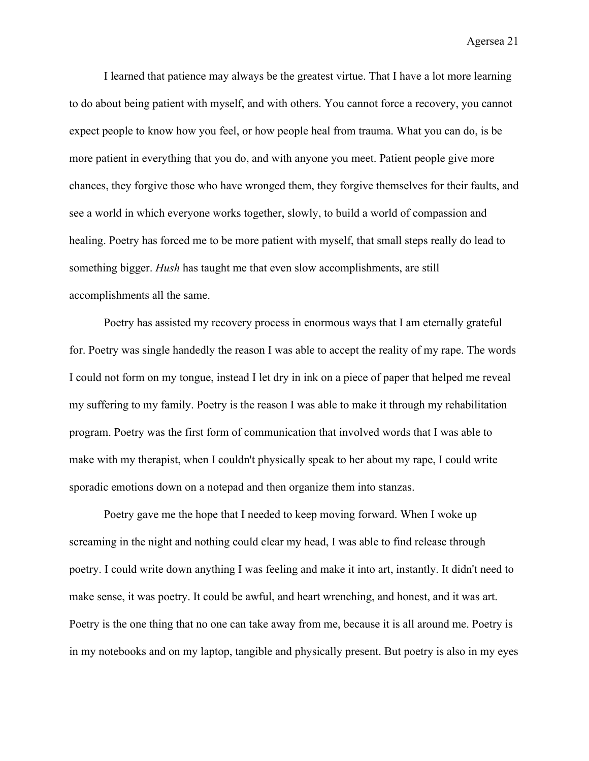I learned that patience may always be the greatest virtue. That I have a lot more learning to do about being patient with myself, and with others. You cannot force a recovery, you cannot expect people to know how you feel, or how people heal from trauma. What you can do, is be more patient in everything that you do, and with anyone you meet. Patient people give more chances, they forgive those who have wronged them, they forgive themselves for their faults, and see a world in which everyone works together, slowly, to build a world of compassion and healing. Poetry has forced me to be more patient with myself, that small steps really do lead to something bigger. *Hush* has taught me that even slow accomplishments, are still accomplishments all the same.

Poetry has assisted my recovery process in enormous ways that I am eternally grateful for. Poetry was single handedly the reason I was able to accept the reality of my rape. The words I could not form on my tongue, instead I let dry in ink on a piece of paper that helped me reveal my suffering to my family. Poetry is the reason I was able to make it through my rehabilitation program. Poetry was the first form of communication that involved words that I was able to make with my therapist, when I couldn't physically speak to her about my rape, I could write sporadic emotions down on a notepad and then organize them into stanzas.

Poetry gave me the hope that I needed to keep moving forward. When I woke up screaming in the night and nothing could clear my head, I was able to find release through poetry. I could write down anything I was feeling and make it into art, instantly. It didn't need to make sense, it was poetry. It could be awful, and heart wrenching, and honest, and it was art. Poetry is the one thing that no one can take away from me, because it is all around me. Poetry is in my notebooks and on my laptop, tangible and physically present. But poetry is also in my eyes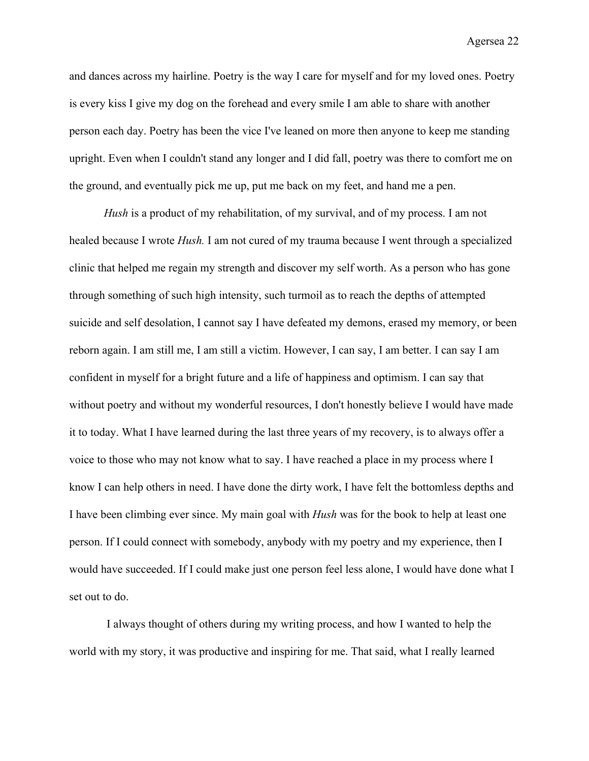and dances across my hairline. Poetry is the way I care for myself and for my loved ones. Poetry is every kiss I give my dog on the forehead and every smile I am able to share with another person each day. Poetry has been the vice I've leaned on more then anyone to keep me standing upright. Even when I couldn't stand any longer and I did fall, poetry was there to comfort me on the ground, and eventually pick me up, put me back on my feet, and hand me a pen.

*Hush* is a product of my rehabilitation, of my survival, and of my process. I am not healed because I wrote *Hush.* I am not cured of my trauma because I went through a specialized clinic that helped me regain my strength and discover my self worth. As a person who has gone through something of such high intensity, such turmoil as to reach the depths of attempted suicide and self desolation, I cannot say I have defeated my demons, erased my memory, or been reborn again. I am still me, I am still a victim. However, I can say, I am better. I can say I am confident in myself for a bright future and a life of happiness and optimism. I can say that without poetry and without my wonderful resources, I don't honestly believe I would have made it to today. What I have learned during the last three years of my recovery, is to always offer a voice to those who may not know what to say. I have reached a place in my process where I know I can help others in need. I have done the dirty work, I have felt the bottomless depths and I have been climbing ever since. My main goal with *Hush* was for the book to help at least one person. If I could connect with somebody, anybody with my poetry and my experience, then I would have succeeded. If I could make just one person feel less alone, I would have done what I set out to do.

 I always thought of others during my writing process, and how I wanted to help the world with my story, it was productive and inspiring for me. That said, what I really learned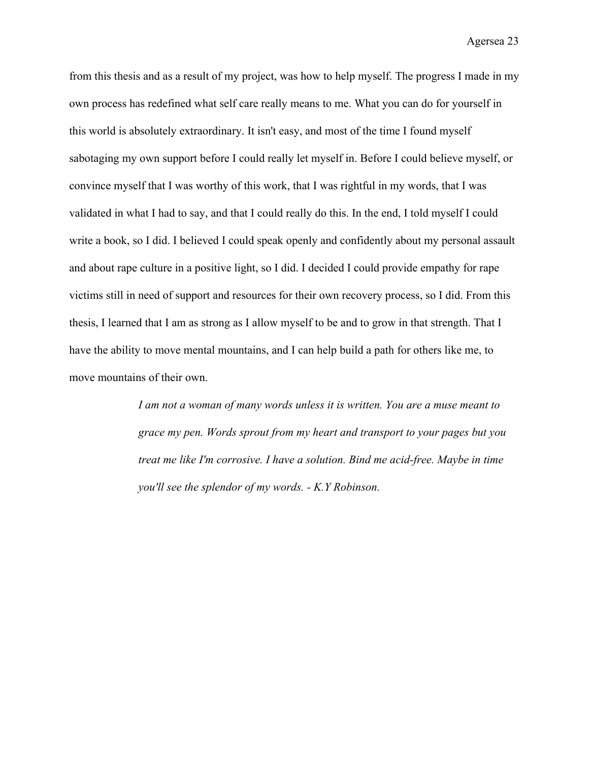from this thesis and as a result of my project, was how to help myself. The progress I made in my own process has redefined what self care really means to me. What you can do for yourself in this world is absolutely extraordinary. It isn't easy, and most of the time I found myself sabotaging my own support before I could really let myself in. Before I could believe myself, or convince myself that I was worthy of this work, that I was rightful in my words, that I was validated in what I had to say, and that I could really do this. In the end, I told myself I could write a book, so I did. I believed I could speak openly and confidently about my personal assault and about rape culture in a positive light, so I did. I decided I could provide empathy for rape victims still in need of support and resources for their own recovery process, so I did. From this thesis, I learned that I am as strong as I allow myself to be and to grow in that strength. That I have the ability to move mental mountains, and I can help build a path for others like me, to move mountains of their own.

> *I am not a woman of many words unless it is written. You are a muse meant to grace my pen. Words sprout from my heart and transport to your pages but you treat me like I'm corrosive. I have a solution. Bind me acid-free. Maybe in time you'll see the splendor of my words. - K.Y Robinson.*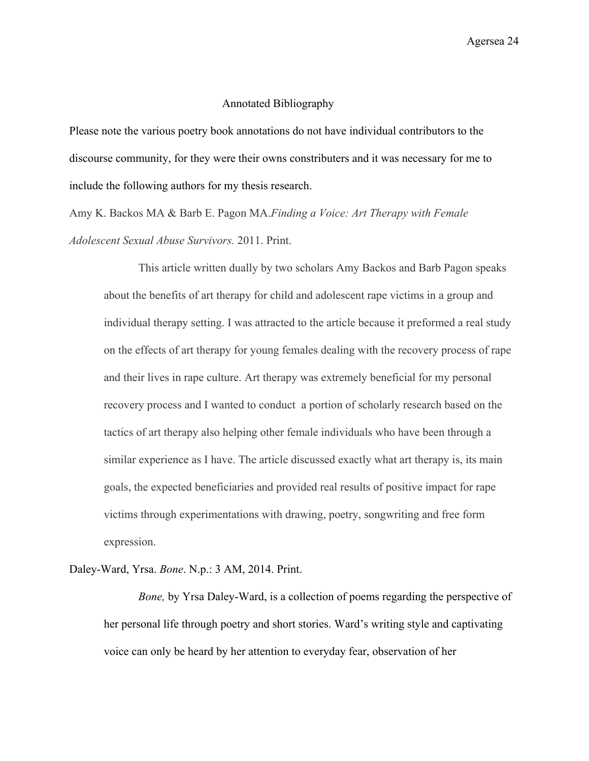### Annotated Bibliography

Please note the various poetry book annotations do not have individual contributors to the discourse community, for they were their owns constributers and it was necessary for me to include the following authors for my thesis research.

Amy K. Backos MA & Barb E. Pagon MA.*Finding a Voice: Art Therapy with Female Adolescent Sexual Abuse Survivors.* 2011. Print.

This article written dually by two scholars Amy Backos and Barb Pagon speaks about the benefits of art therapy for child and adolescent rape victims in a group and individual therapy setting. I was attracted to the article because it preformed a real study on the effects of art therapy for young females dealing with the recovery process of rape and their lives in rape culture. Art therapy was extremely beneficial for my personal recovery process and I wanted to conduct a portion of scholarly research based on the tactics of art therapy also helping other female individuals who have been through a similar experience as I have. The article discussed exactly what art therapy is, its main goals, the expected beneficiaries and provided real results of positive impact for rape victims through experimentations with drawing, poetry, songwriting and free form expression.

Daley-Ward, Yrsa. *Bone*. N.p.: 3 AM, 2014. Print.

*Bone,* by Yrsa Daley-Ward, is a collection of poems regarding the perspective of her personal life through poetry and short stories. Ward's writing style and captivating voice can only be heard by her attention to everyday fear, observation of her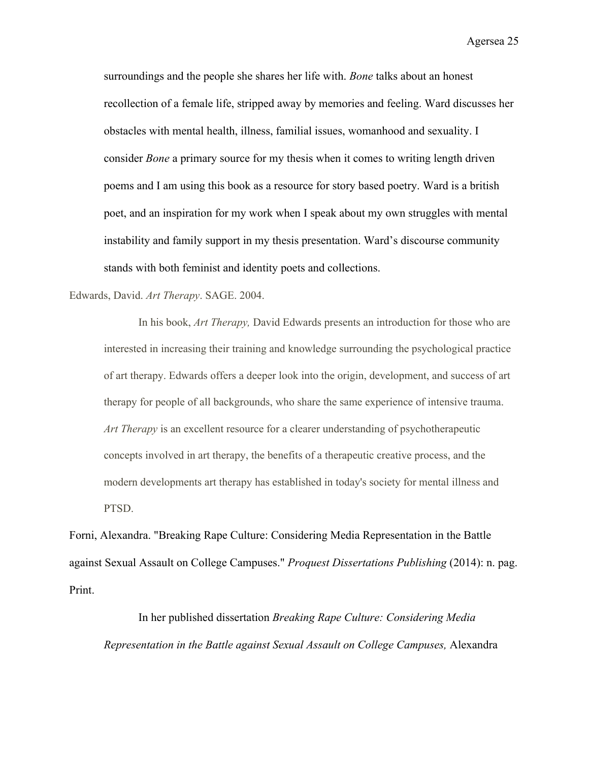surroundings and the people she shares her life with. *Bone* talks about an honest recollection of a female life, stripped away by memories and feeling. Ward discusses her obstacles with mental health, illness, familial issues, womanhood and sexuality. I consider *Bone* a primary source for my thesis when it comes to writing length driven poems and I am using this book as a resource for story based poetry. Ward is a british poet, and an inspiration for my work when I speak about my own struggles with mental instability and family support in my thesis presentation. Ward's discourse community stands with both feminist and identity poets and collections.

#### Edwards, David. *Art Therapy*. SAGE. 2004.

In his book, *Art Therapy,* David Edwards presents an introduction for those who are interested in increasing their training and knowledge surrounding the psychological practice of art therapy. Edwards offers a deeper look into the origin, development, and success of art therapy for people of all backgrounds, who share the same experience of intensive trauma. *Art Therapy* is an excellent resource for a clearer understanding of psychotherapeutic concepts involved in art therapy, the benefits of a therapeutic creative process, and the modern developments art therapy has established in today's society for mental illness and PTSD.

Forni, Alexandra. "Breaking Rape Culture: Considering Media Representation in the Battle against Sexual Assault on College Campuses." *Proquest Dissertations Publishing* (2014): n. pag. Print.

In her published dissertation *Breaking Rape Culture: Considering Media Representation in the Battle against Sexual Assault on College Campuses,* Alexandra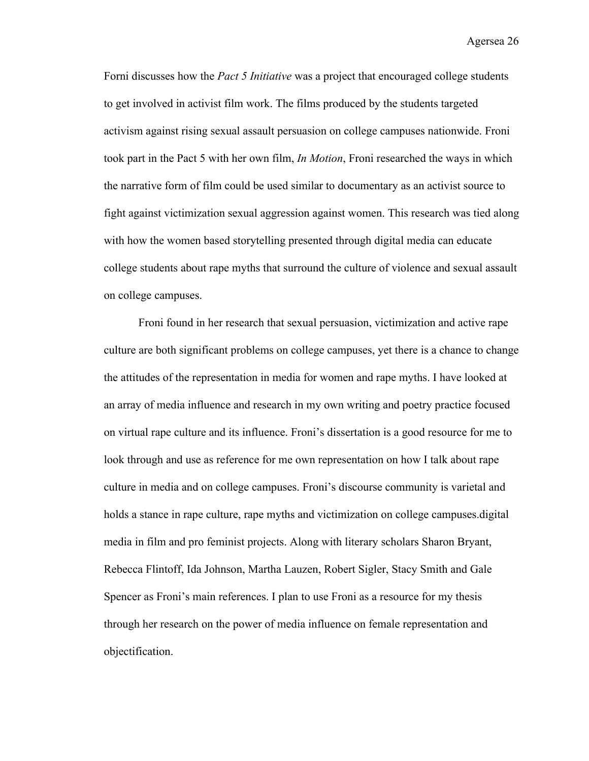Forni discusses how the *Pact 5 Initiative* was a project that encouraged college students to get involved in activist film work. The films produced by the students targeted activism against rising sexual assault persuasion on college campuses nationwide. Froni took part in the Pact 5 with her own film, *In Motion*, Froni researched the ways in which the narrative form of film could be used similar to documentary as an activist source to fight against victimization sexual aggression against women. This research was tied along with how the women based storytelling presented through digital media can educate college students about rape myths that surround the culture of violence and sexual assault on college campuses.

Froni found in her research that sexual persuasion, victimization and active rape culture are both significant problems on college campuses, yet there is a chance to change the attitudes of the representation in media for women and rape myths. I have looked at an array of media influence and research in my own writing and poetry practice focused on virtual rape culture and its influence. Froni's dissertation is a good resource for me to look through and use as reference for me own representation on how I talk about rape culture in media and on college campuses. Froni's discourse community is varietal and holds a stance in rape culture, rape myths and victimization on college campuses.digital media in film and pro feminist projects. Along with literary scholars Sharon Bryant, Rebecca Flintoff, Ida Johnson, Martha Lauzen, Robert Sigler, Stacy Smith and Gale Spencer as Froni's main references. I plan to use Froni as a resource for my thesis through her research on the power of media influence on female representation and objectification.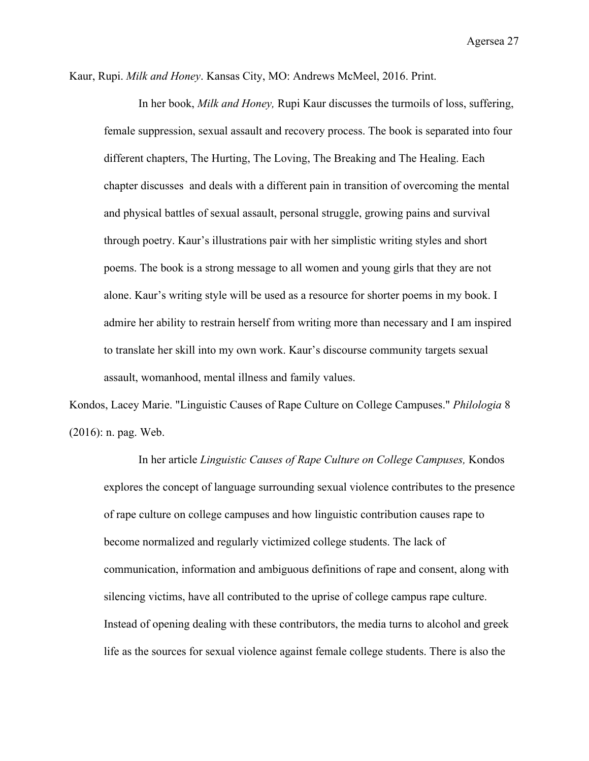Kaur, Rupi. *Milk and Honey*. Kansas City, MO: Andrews McMeel, 2016. Print.

In her book, *Milk and Honey,* Rupi Kaur discusses the turmoils of loss, suffering, female suppression, sexual assault and recovery process. The book is separated into four different chapters, The Hurting, The Loving, The Breaking and The Healing. Each chapter discusses and deals with a different pain in transition of overcoming the mental and physical battles of sexual assault, personal struggle, growing pains and survival through poetry. Kaur's illustrations pair with her simplistic writing styles and short poems. The book is a strong message to all women and young girls that they are not alone. Kaur's writing style will be used as a resource for shorter poems in my book. I admire her ability to restrain herself from writing more than necessary and I am inspired to translate her skill into my own work. Kaur's discourse community targets sexual assault, womanhood, mental illness and family values.

Kondos, Lacey Marie. "Linguistic Causes of Rape Culture on College Campuses." *Philologia* 8 (2016): n. pag. Web.

In her article *Linguistic Causes of Rape Culture on College Campuses,* Kondos explores the concept of language surrounding sexual violence contributes to the presence of rape culture on college campuses and how linguistic contribution causes rape to become normalized and regularly victimized college students. The lack of communication, information and ambiguous definitions of rape and consent, along with silencing victims, have all contributed to the uprise of college campus rape culture. Instead of opening dealing with these contributors, the media turns to alcohol and greek life as the sources for sexual violence against female college students. There is also the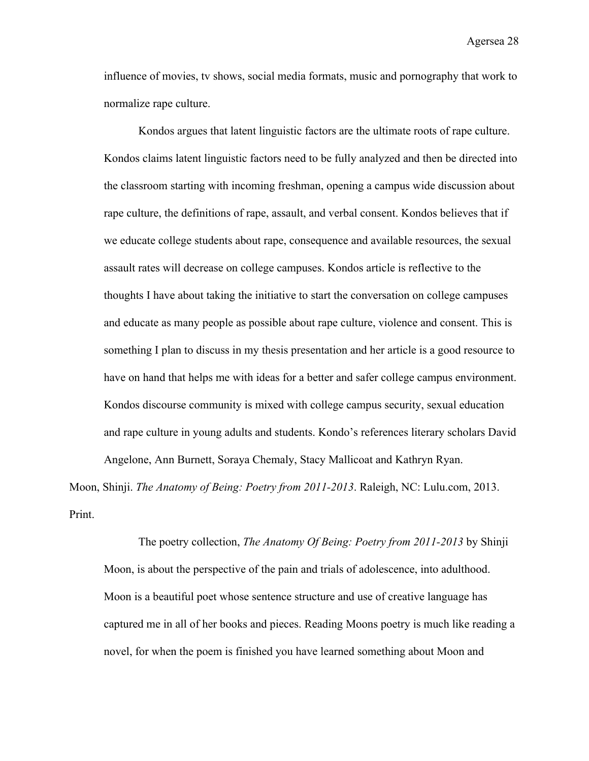influence of movies, tv shows, social media formats, music and pornography that work to normalize rape culture.

Kondos argues that latent linguistic factors are the ultimate roots of rape culture. Kondos claims latent linguistic factors need to be fully analyzed and then be directed into the classroom starting with incoming freshman, opening a campus wide discussion about rape culture, the definitions of rape, assault, and verbal consent. Kondos believes that if we educate college students about rape, consequence and available resources, the sexual assault rates will decrease on college campuses. Kondos article is reflective to the thoughts I have about taking the initiative to start the conversation on college campuses and educate as many people as possible about rape culture, violence and consent. This is something I plan to discuss in my thesis presentation and her article is a good resource to have on hand that helps me with ideas for a better and safer college campus environment. Kondos discourse community is mixed with college campus security, sexual education and rape culture in young adults and students. Kondo's references literary scholars David Angelone, Ann Burnett, Soraya Chemaly, Stacy Mallicoat and Kathryn Ryan.

Moon, Shinji. *The Anatomy of Being: Poetry from 2011-2013*. Raleigh, NC: Lulu.com, 2013. Print.

The poetry collection, *The Anatomy Of Being: Poetry from 2011-2013* by Shinji Moon, is about the perspective of the pain and trials of adolescence, into adulthood. Moon is a beautiful poet whose sentence structure and use of creative language has captured me in all of her books and pieces. Reading Moons poetry is much like reading a novel, for when the poem is finished you have learned something about Moon and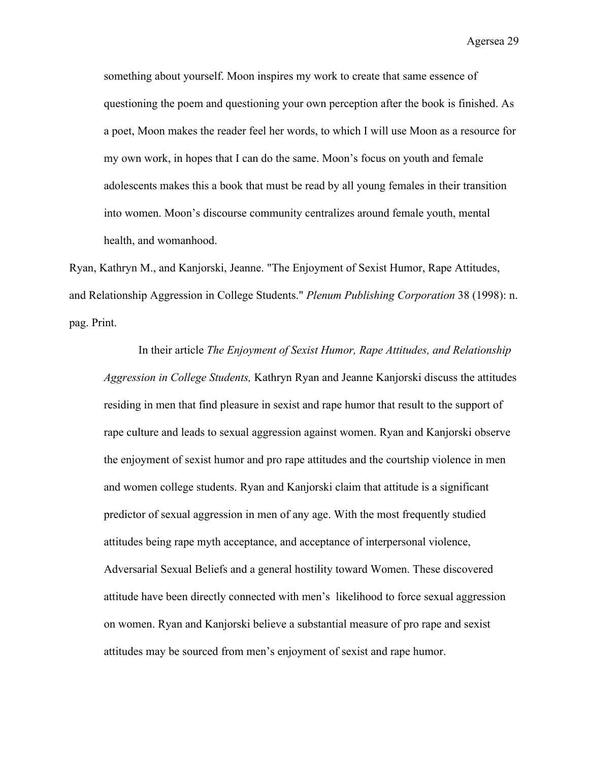something about yourself. Moon inspires my work to create that same essence of questioning the poem and questioning your own perception after the book is finished. As a poet, Moon makes the reader feel her words, to which I will use Moon as a resource for my own work, in hopes that I can do the same. Moon's focus on youth and female adolescents makes this a book that must be read by all young females in their transition into women. Moon's discourse community centralizes around female youth, mental health, and womanhood.

Ryan, Kathryn M., and Kanjorski, Jeanne. "The Enjoyment of Sexist Humor, Rape Attitudes, and Relationship Aggression in College Students." *Plenum Publishing Corporation* 38 (1998): n. pag. Print.

In their article *The Enjoyment of Sexist Humor, Rape Attitudes, and Relationship Aggression in College Students,* Kathryn Ryan and Jeanne Kanjorski discuss the attitudes residing in men that find pleasure in sexist and rape humor that result to the support of rape culture and leads to sexual aggression against women. Ryan and Kanjorski observe the enjoyment of sexist humor and pro rape attitudes and the courtship violence in men and women college students. Ryan and Kanjorski claim that attitude is a significant predictor of sexual aggression in men of any age. With the most frequently studied attitudes being rape myth acceptance, and acceptance of interpersonal violence, Adversarial Sexual Beliefs and a general hostility toward Women. These discovered attitude have been directly connected with men's likelihood to force sexual aggression on women. Ryan and Kanjorski believe a substantial measure of pro rape and sexist attitudes may be sourced from men's enjoyment of sexist and rape humor.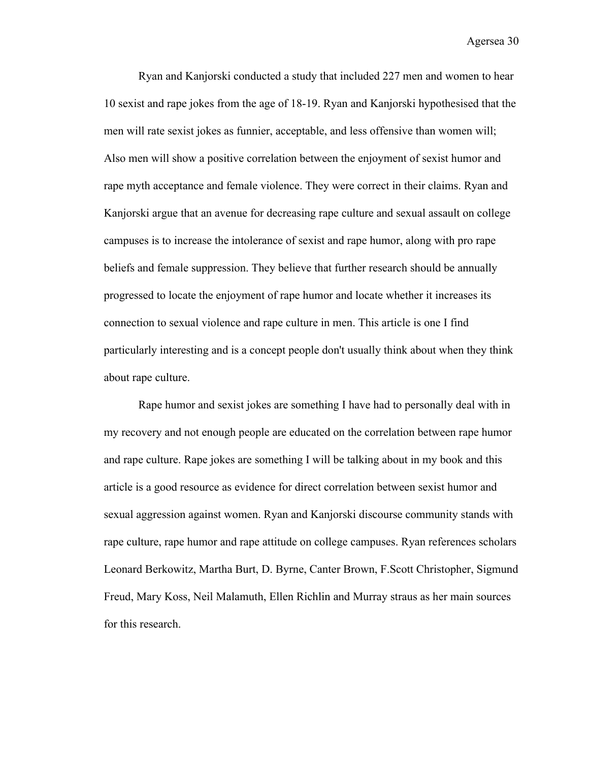Ryan and Kanjorski conducted a study that included 227 men and women to hear 10 sexist and rape jokes from the age of 18-19. Ryan and Kanjorski hypothesised that the men will rate sexist jokes as funnier, acceptable, and less offensive than women will; Also men will show a positive correlation between the enjoyment of sexist humor and rape myth acceptance and female violence. They were correct in their claims. Ryan and Kanjorski argue that an avenue for decreasing rape culture and sexual assault on college campuses is to increase the intolerance of sexist and rape humor, along with pro rape beliefs and female suppression. They believe that further research should be annually progressed to locate the enjoyment of rape humor and locate whether it increases its connection to sexual violence and rape culture in men. This article is one I find particularly interesting and is a concept people don't usually think about when they think about rape culture.

Rape humor and sexist jokes are something I have had to personally deal with in my recovery and not enough people are educated on the correlation between rape humor and rape culture. Rape jokes are something I will be talking about in my book and this article is a good resource as evidence for direct correlation between sexist humor and sexual aggression against women. Ryan and Kanjorski discourse community stands with rape culture, rape humor and rape attitude on college campuses. Ryan references scholars Leonard Berkowitz, Martha Burt, D. Byrne, Canter Brown, F.Scott Christopher, Sigmund Freud, Mary Koss, Neil Malamuth, Ellen Richlin and Murray straus as her main sources for this research.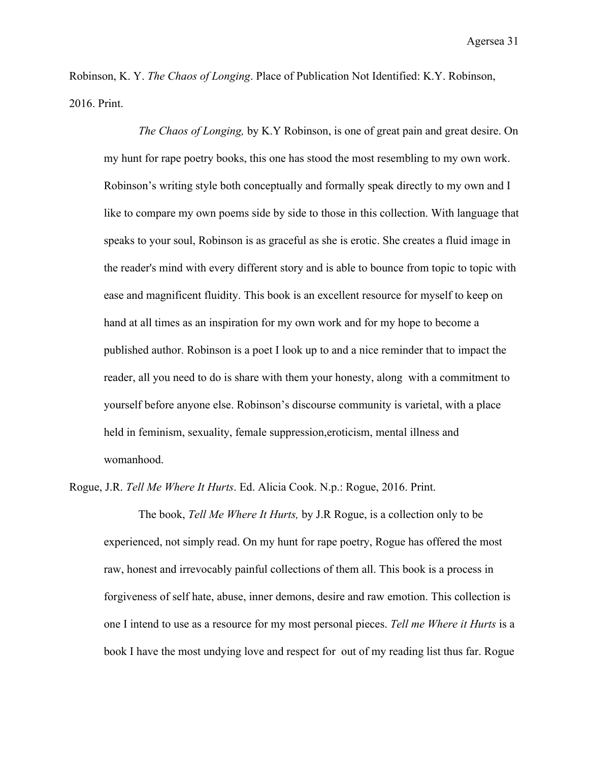Robinson, K. Y. *The Chaos of Longing*. Place of Publication Not Identified: K.Y. Robinson, 2016. Print.

*The Chaos of Longing,* by K.Y Robinson, is one of great pain and great desire. On my hunt for rape poetry books, this one has stood the most resembling to my own work. Robinson's writing style both conceptually and formally speak directly to my own and I like to compare my own poems side by side to those in this collection. With language that speaks to your soul, Robinson is as graceful as she is erotic. She creates a fluid image in the reader's mind with every different story and is able to bounce from topic to topic with ease and magnificent fluidity. This book is an excellent resource for myself to keep on hand at all times as an inspiration for my own work and for my hope to become a published author. Robinson is a poet I look up to and a nice reminder that to impact the reader, all you need to do is share with them your honesty, along with a commitment to yourself before anyone else. Robinson's discourse community is varietal, with a place held in feminism, sexuality, female suppression,eroticism, mental illness and womanhood.

Rogue, J.R. *Tell Me Where It Hurts*. Ed. Alicia Cook. N.p.: Rogue, 2016. Print.

The book, *Tell Me Where It Hurts,* by J.R Rogue, is a collection only to be experienced, not simply read. On my hunt for rape poetry, Rogue has offered the most raw, honest and irrevocably painful collections of them all. This book is a process in forgiveness of self hate, abuse, inner demons, desire and raw emotion. This collection is one I intend to use as a resource for my most personal pieces. *Tell me Where it Hurts* is a book I have the most undying love and respect for out of my reading list thus far. Rogue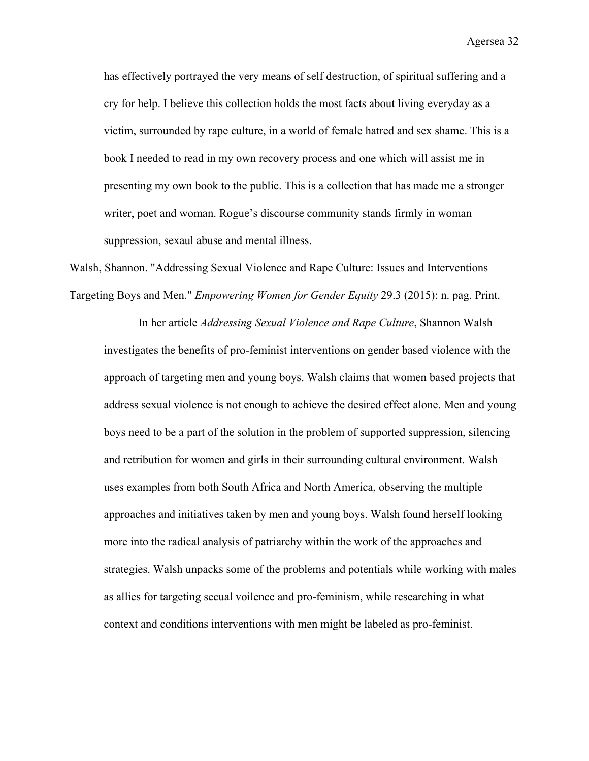has effectively portrayed the very means of self destruction, of spiritual suffering and a cry for help. I believe this collection holds the most facts about living everyday as a victim, surrounded by rape culture, in a world of female hatred and sex shame. This is a book I needed to read in my own recovery process and one which will assist me in presenting my own book to the public. This is a collection that has made me a stronger writer, poet and woman. Rogue's discourse community stands firmly in woman suppression, sexaul abuse and mental illness.

Walsh, Shannon. "Addressing Sexual Violence and Rape Culture: Issues and Interventions Targeting Boys and Men." *Empowering Women for Gender Equity* 29.3 (2015): n. pag. Print.

In her article *Addressing Sexual Violence and Rape Culture*, Shannon Walsh investigates the benefits of pro-feminist interventions on gender based violence with the approach of targeting men and young boys. Walsh claims that women based projects that address sexual violence is not enough to achieve the desired effect alone. Men and young boys need to be a part of the solution in the problem of supported suppression, silencing and retribution for women and girls in their surrounding cultural environment. Walsh uses examples from both South Africa and North America, observing the multiple approaches and initiatives taken by men and young boys. Walsh found herself looking more into the radical analysis of patriarchy within the work of the approaches and strategies. Walsh unpacks some of the problems and potentials while working with males as allies for targeting secual voilence and pro-feminism, while researching in what context and conditions interventions with men might be labeled as pro-feminist.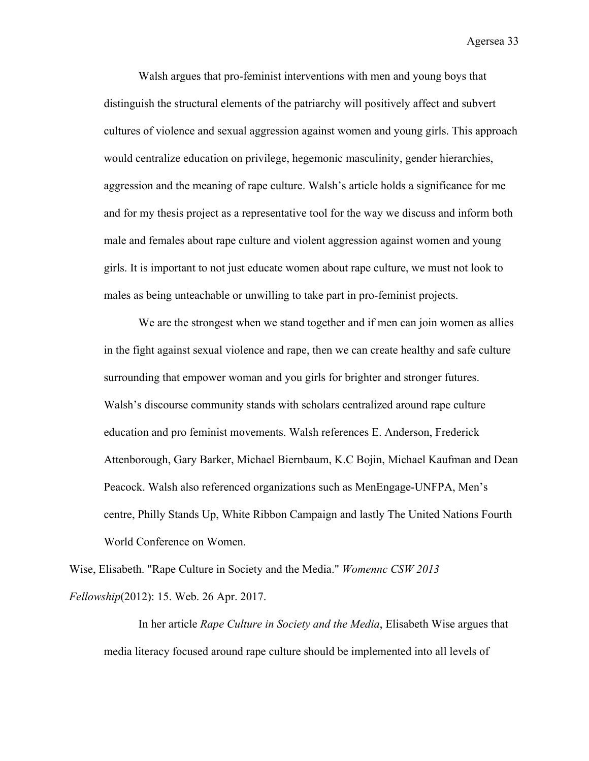Walsh argues that pro-feminist interventions with men and young boys that distinguish the structural elements of the patriarchy will positively affect and subvert cultures of violence and sexual aggression against women and young girls. This approach would centralize education on privilege, hegemonic masculinity, gender hierarchies, aggression and the meaning of rape culture. Walsh's article holds a significance for me and for my thesis project as a representative tool for the way we discuss and inform both male and females about rape culture and violent aggression against women and young girls. It is important to not just educate women about rape culture, we must not look to males as being unteachable or unwilling to take part in pro-feminist projects.

We are the strongest when we stand together and if men can join women as allies in the fight against sexual violence and rape, then we can create healthy and safe culture surrounding that empower woman and you girls for brighter and stronger futures. Walsh's discourse community stands with scholars centralized around rape culture education and pro feminist movements. Walsh references E. Anderson, Frederick Attenborough, Gary Barker, Michael Biernbaum, K.C Bojin, Michael Kaufman and Dean Peacock. Walsh also referenced organizations such as MenEngage-UNFPA, Men's centre, Philly Stands Up, White Ribbon Campaign and lastly The United Nations Fourth World Conference on Women.

Wise, Elisabeth. "Rape Culture in Society and the Media." *Womennc CSW 2013 Fellowship*(2012): 15. Web. 26 Apr. 2017.

In her article *Rape Culture in Society and the Media*, Elisabeth Wise argues that media literacy focused around rape culture should be implemented into all levels of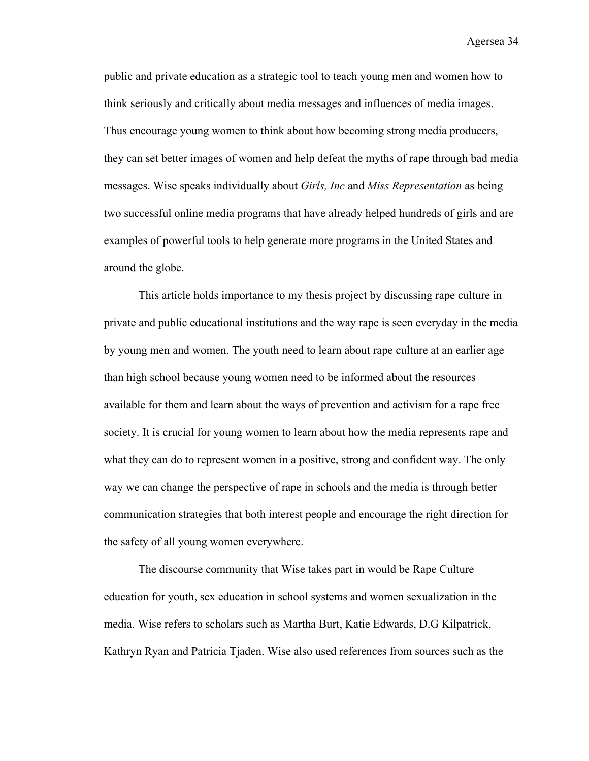public and private education as a strategic tool to teach young men and women how to think seriously and critically about media messages and influences of media images. Thus encourage young women to think about how becoming strong media producers, they can set better images of women and help defeat the myths of rape through bad media messages. Wise speaks individually about *Girls, Inc* and *Miss Representation* as being two successful online media programs that have already helped hundreds of girls and are examples of powerful tools to help generate more programs in the United States and around the globe.

This article holds importance to my thesis project by discussing rape culture in private and public educational institutions and the way rape is seen everyday in the media by young men and women. The youth need to learn about rape culture at an earlier age than high school because young women need to be informed about the resources available for them and learn about the ways of prevention and activism for a rape free society. It is crucial for young women to learn about how the media represents rape and what they can do to represent women in a positive, strong and confident way. The only way we can change the perspective of rape in schools and the media is through better communication strategies that both interest people and encourage the right direction for the safety of all young women everywhere.

The discourse community that Wise takes part in would be Rape Culture education for youth, sex education in school systems and women sexualization in the media. Wise refers to scholars such as Martha Burt, Katie Edwards, D.G Kilpatrick, Kathryn Ryan and Patricia Tjaden. Wise also used references from sources such as the